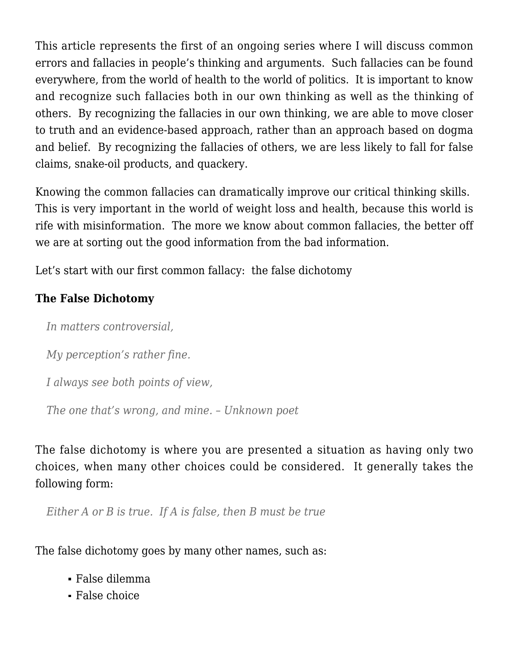This article represents the first of an ongoing series where I will discuss common errors and fallacies in people's thinking and arguments. Such fallacies can be found everywhere, from the world of health to the world of politics. It is important to know and recognize such fallacies both in our own thinking as well as the thinking of others. By recognizing the fallacies in our own thinking, we are able to move closer to truth and an evidence-based approach, rather than an approach based on dogma and belief. By recognizing the fallacies of others, we are less likely to fall for false claims, snake-oil products, and quackery.

Knowing the common fallacies can dramatically improve our critical thinking skills. This is very important in the world of weight loss and health, because this world is rife with misinformation. The more we know about common fallacies, the better off we are at sorting out the good information from the bad information.

Let's start with our first common fallacy: the false dichotomy

## **The False Dichotomy**

*In matters controversial,*

*My perception's rather fine.*

*I always see both points of view,*

*The one that's wrong, and mine. – Unknown poet*

The false dichotomy is where you are presented a situation as having only two choices, when many other choices could be considered. It generally takes the following form:

*Either A or B is true. If A is false, then B must be true*

The false dichotomy goes by many other names, such as:

- False dilemma
- False choice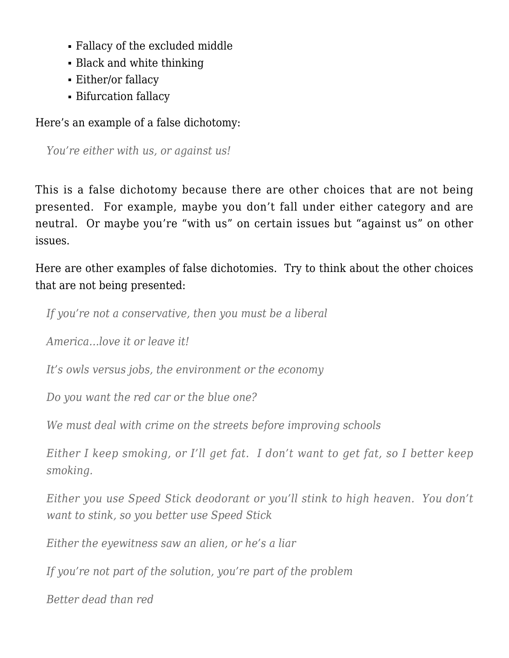- Fallacy of the excluded middle
- Black and white thinking
- Either/or fallacy
- Bifurcation fallacy

Here's an example of a false dichotomy:

*You're either with us, or against us!*

This is a false dichotomy because there are other choices that are not being presented. For example, maybe you don't fall under either category and are neutral. Or maybe you're "with us" on certain issues but "against us" on other issues.

Here are other examples of false dichotomies. Try to think about the other choices that are not being presented:

*If you're not a conservative, then you must be a liberal*

*America…love it or leave it!*

*It's owls versus jobs, the environment or the economy*

*Do you want the red car or the blue one?*

*We must deal with crime on the streets before improving schools*

*Either I keep smoking, or I'll get fat. I don't want to get fat, so I better keep smoking.*

*Either you use Speed Stick deodorant or you'll stink to high heaven. You don't want to stink, so you better use Speed Stick*

*Either the eyewitness saw an alien, or he's a liar*

*If you're not part of the solution, you're part of the problem*

*Better dead than red*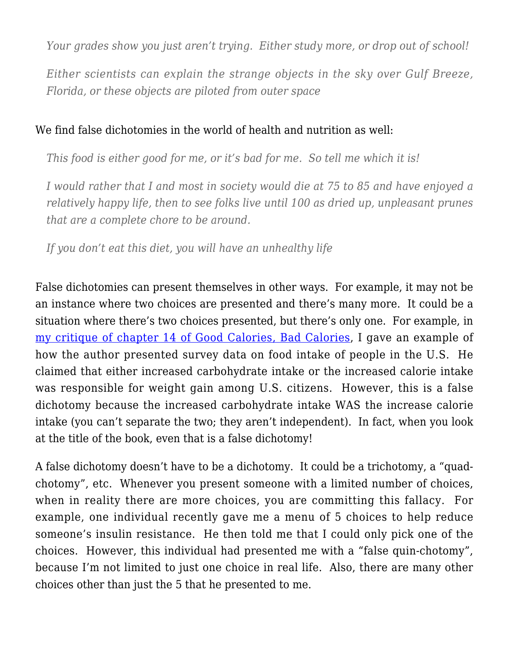*Your grades show you just aren't trying. Either study more, or drop out of school!*

*Either scientists can explain the strange objects in the sky over Gulf Breeze, Florida, or these objects are piloted from outer space*

## We find false dichotomies in the world of health and nutrition as well:

*This food is either good for me, or it's bad for me. So tell me which it is!*

*I would rather that I and most in society would die at 75 to 85 and have enjoyed a relatively happy life, then to see folks live until 100 as dried up, unpleasant prunes that are a complete chore to be around.*

*If you don't eat this diet, you will have an unhealthy life*

False dichotomies can present themselves in other ways. For example, it may not be an instance where two choices are presented and there's many more. It could be a situation where there's two choices presented, but there's only one. For example, in [my critique of chapter 14 of Good Calories, Bad Calories,](https://weightology.net/?p=265) I gave an example of how the author presented survey data on food intake of people in the U.S. He claimed that either increased carbohydrate intake or the increased calorie intake was responsible for weight gain among U.S. citizens. However, this is a false dichotomy because the increased carbohydrate intake WAS the increase calorie intake (you can't separate the two; they aren't independent). In fact, when you look at the title of the book, even that is a false dichotomy!

A false dichotomy doesn't have to be a dichotomy. It could be a trichotomy, a "quadchotomy", etc. Whenever you present someone with a limited number of choices, when in reality there are more choices, you are committing this fallacy. For example, one individual recently gave me a menu of 5 choices to help reduce someone's insulin resistance. He then told me that I could only pick one of the choices. However, this individual had presented me with a "false quin-chotomy", because I'm not limited to just one choice in real life. Also, there are many other choices other than just the 5 that he presented to me.